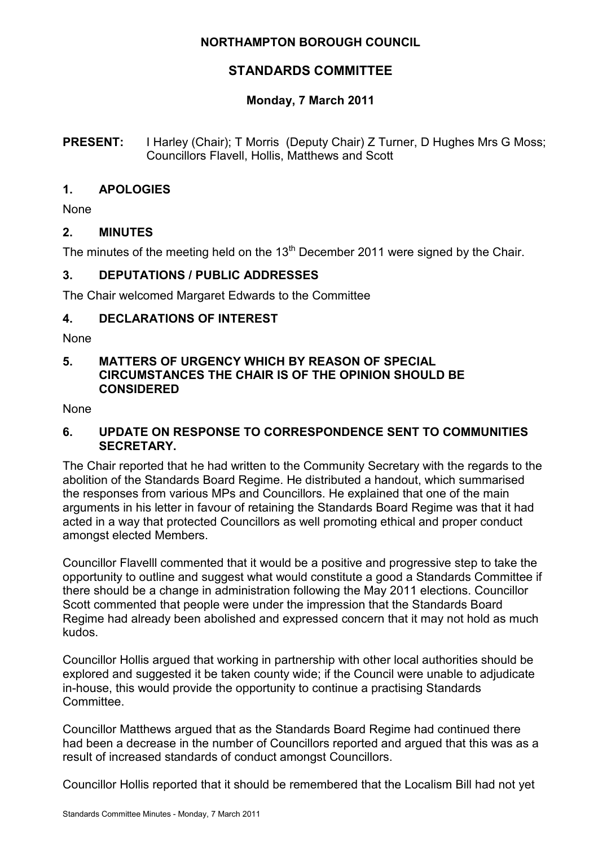## **NORTHAMPTON BOROUGH COUNCIL**

# **STANDARDS COMMITTEE**

# **Monday, 7 March 2011**

### **PRESENT:** I Harley (Chair); T Morris (Deputy Chair) Z Turner, D Hughes Mrs G Moss; Councillors Flavell, Hollis, Matthews and Scott

### **1. APOLOGIES**

None

### **2. MINUTES**

The minutes of the meeting held on the  $13<sup>th</sup>$  December 2011 were signed by the Chair.

### **3. DEPUTATIONS / PUBLIC ADDRESSES**

The Chair welcomed Margaret Edwards to the Committee

#### **4. DECLARATIONS OF INTEREST**

None

### **5. MATTERS OF URGENCY WHICH BY REASON OF SPECIAL CIRCUMSTANCES THE CHAIR IS OF THE OPINION SHOULD BE CONSIDERED**

None

#### **6. UPDATE ON RESPONSE TO CORRESPONDENCE SENT TO COMMUNITIES SECRETARY.**

The Chair reported that he had written to the Community Secretary with the regards to the abolition of the Standards Board Regime. He distributed a handout, which summarised the responses from various MPs and Councillors. He explained that one of the main arguments in his letter in favour of retaining the Standards Board Regime was that it had acted in a way that protected Councillors as well promoting ethical and proper conduct amongst elected Members.

Councillor Flavelll commented that it would be a positive and progressive step to take the opportunity to outline and suggest what would constitute a good a Standards Committee if there should be a change in administration following the May 2011 elections. Councillor Scott commented that people were under the impression that the Standards Board Regime had already been abolished and expressed concern that it may not hold as much kudos.

Councillor Hollis argued that working in partnership with other local authorities should be explored and suggested it be taken county wide; if the Council were unable to adjudicate in-house, this would provide the opportunity to continue a practising Standards **Committee.** 

Councillor Matthews argued that as the Standards Board Regime had continued there had been a decrease in the number of Councillors reported and argued that this was as a result of increased standards of conduct amongst Councillors.

Councillor Hollis reported that it should be remembered that the Localism Bill had not yet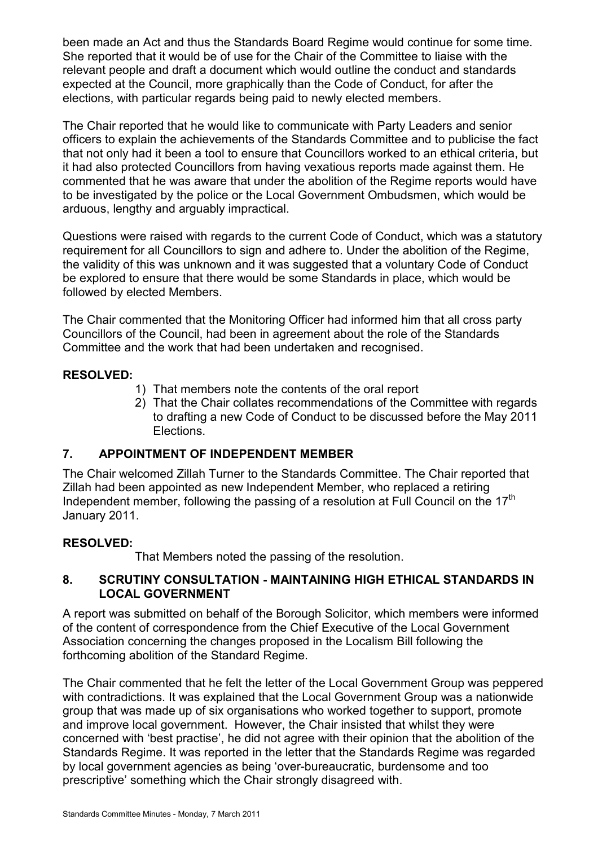been made an Act and thus the Standards Board Regime would continue for some time. She reported that it would be of use for the Chair of the Committee to liaise with the relevant people and draft a document which would outline the conduct and standards expected at the Council, more graphically than the Code of Conduct, for after the elections, with particular regards being paid to newly elected members.

The Chair reported that he would like to communicate with Party Leaders and senior officers to explain the achievements of the Standards Committee and to publicise the fact that not only had it been a tool to ensure that Councillors worked to an ethical criteria, but it had also protected Councillors from having vexatious reports made against them. He commented that he was aware that under the abolition of the Regime reports would have to be investigated by the police or the Local Government Ombudsmen, which would be arduous, lengthy and arguably impractical.

Questions were raised with regards to the current Code of Conduct, which was a statutory requirement for all Councillors to sign and adhere to. Under the abolition of the Regime, the validity of this was unknown and it was suggested that a voluntary Code of Conduct be explored to ensure that there would be some Standards in place, which would be followed by elected Members.

The Chair commented that the Monitoring Officer had informed him that all cross party Councillors of the Council, had been in agreement about the role of the Standards Committee and the work that had been undertaken and recognised.

# **RESOLVED:**

- 1) That members note the contents of the oral report
- 2) That the Chair collates recommendations of the Committee with regards to drafting a new Code of Conduct to be discussed before the May 2011 Elections.

# **7. APPOINTMENT OF INDEPENDENT MEMBER**

The Chair welcomed Zillah Turner to the Standards Committee. The Chair reported that Zillah had been appointed as new Independent Member, who replaced a retiring Independent member, following the passing of a resolution at Full Council on the 17<sup>th</sup> January 2011.

# **RESOLVED:**

That Members noted the passing of the resolution.

### **8. SCRUTINY CONSULTATION - MAINTAINING HIGH ETHICAL STANDARDS IN LOCAL GOVERNMENT**

A report was submitted on behalf of the Borough Solicitor, which members were informed of the content of correspondence from the Chief Executive of the Local Government Association concerning the changes proposed in the Localism Bill following the forthcoming abolition of the Standard Regime.

The Chair commented that he felt the letter of the Local Government Group was peppered with contradictions. It was explained that the Local Government Group was a nationwide group that was made up of six organisations who worked together to support, promote and improve local government. However, the Chair insisted that whilst they were concerned with 'best practise', he did not agree with their opinion that the abolition of the Standards Regime. It was reported in the letter that the Standards Regime was regarded by local government agencies as being 'over-bureaucratic, burdensome and too prescriptive' something which the Chair strongly disagreed with.